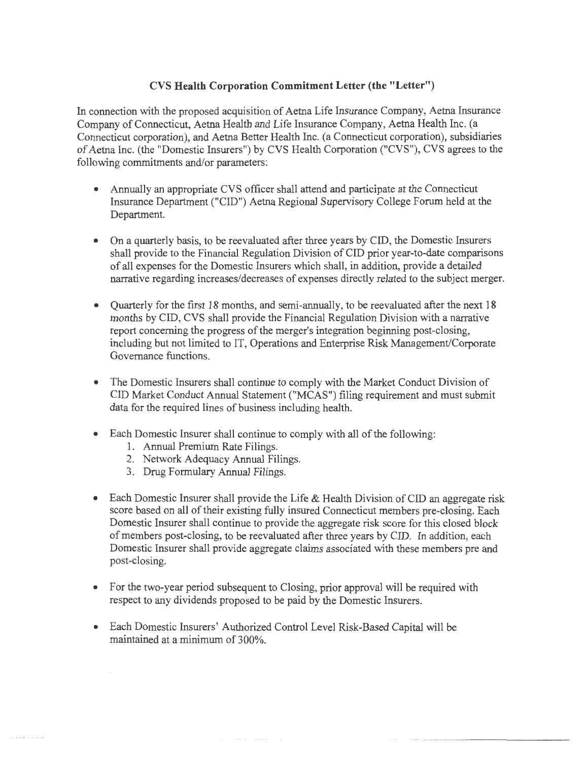## **CVS Health Corporation Commitment Letter (the "Letter")**

In connection with the proposed acquisition of Aetna Life Insurance Company, Aetna Insurance Company of Connecticut, Aetna Health and Life Insurance Company, Aetna Health Inc. (a Connecticut corporation), and Aetna Better Health Inc. (a Connecticut corporation), subsidiaries of Aetna Inc. (the "Domestic Insurers") by CVS Health Corporation ("CVS"), CVS agrees to the following commitments and/or parameters:

- Annually an appropriate CVS officer shall attend and participate at the Connecticut Insurance Department ("CID") Aetna Regional Supervisory College Forum held at the Department.
- On a quarterly basis, to be reevaluated after three years by CID, the Domestic Insurers shall provide to the Financial Regulation Division of CID prior year-to-date comparisons of all expenses for the Domestic Insurers which shall, in addition, provide a detailed narrative regarding increases/decreases of expenses directly related to the subject merger.
- Quarterly for the first 18 months, and semi-annually, to be reevaluated after the next 18 months by CID, CVS shall provide the Financial Regulation Division with a narrative report concerning the progress of the merger's integration beginning post-closing, including but not limited to IT, Operations and Enterprise Risk Management/Corporate Governance functions.
- The Domestic Insurers shall continue to comply with the Market Conduct Division of CID Market Conduct Annual Statement ("MCAS") filing requirement and must submit data for the required lines of business including health.
- Each Domestic Insurer shall continue to comply with all of the following:
	- 1. Annual Premium Rate Filings.
	- 2. Network Adequacy Annual Filings.
	- 3. Drug Formulary Annual Filings.
- Each Domestic Insurer shall provide the Life & Health Division of CID an aggregate risk score based on all of their existing fully insured Connecticut members pre-closing. Each Domestic Insurer shall continue to provide the aggregate risk score for this closed block ofmembers post-closing, to be reevaluated after three years by CID. In addition, each Domestic Insurer shall provide aggregate claims associated with these members pre and post-closing.
- For the two-year period subsequent to Closing, prior approval will be required with respect to any dividends proposed to be paid by the Domestic Insurers.
- Each Domestic Insurers' Authorized Control Level Risk-Based Capital will be maintained at a minimum of 300%.